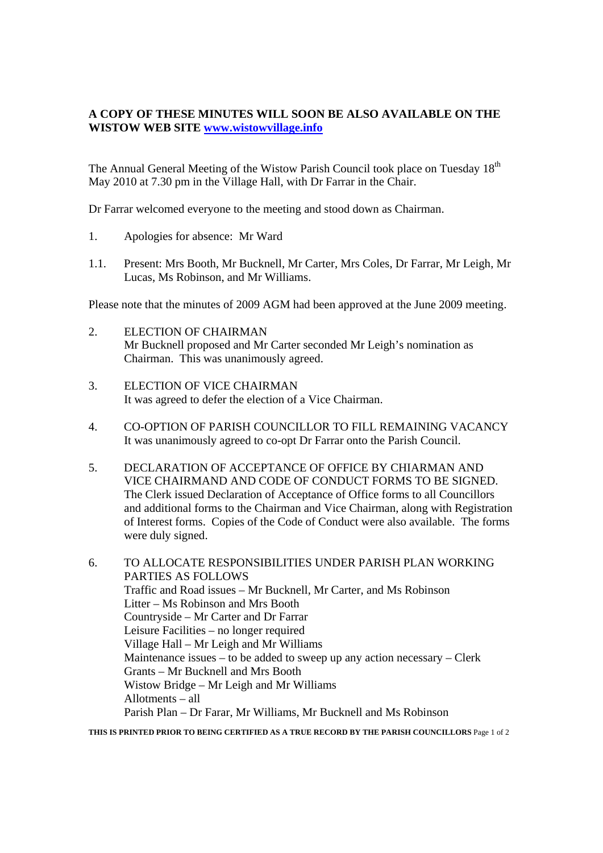## **A COPY OF THESE MINUTES WILL SOON BE ALSO AVAILABLE ON THE WISTOW WEB SITE www.wistowvillage.info**

The Annual General Meeting of the Wistow Parish Council took place on Tuesday 18<sup>th</sup> May 2010 at 7.30 pm in the Village Hall, with Dr Farrar in the Chair.

Dr Farrar welcomed everyone to the meeting and stood down as Chairman.

- 1. Apologies for absence: Mr Ward
- 1.1. Present: Mrs Booth, Mr Bucknell, Mr Carter, Mrs Coles, Dr Farrar, Mr Leigh, Mr Lucas, Ms Robinson, and Mr Williams.

Please note that the minutes of 2009 AGM had been approved at the June 2009 meeting.

- 2. ELECTION OF CHAIRMAN Mr Bucknell proposed and Mr Carter seconded Mr Leigh's nomination as Chairman. This was unanimously agreed.
- 3. ELECTION OF VICE CHAIRMAN It was agreed to defer the election of a Vice Chairman.
- 4. CO-OPTION OF PARISH COUNCILLOR TO FILL REMAINING VACANCY It was unanimously agreed to co-opt Dr Farrar onto the Parish Council.
- 5. DECLARATION OF ACCEPTANCE OF OFFICE BY CHIARMAN AND VICE CHAIRMAND AND CODE OF CONDUCT FORMS TO BE SIGNED. The Clerk issued Declaration of Acceptance of Office forms to all Councillors and additional forms to the Chairman and Vice Chairman, along with Registration of Interest forms. Copies of the Code of Conduct were also available. The forms were duly signed.

6. TO ALLOCATE RESPONSIBILITIES UNDER PARISH PLAN WORKING PARTIES AS FOLLOWS Traffic and Road issues – Mr Bucknell, Mr Carter, and Ms Robinson Litter – Ms Robinson and Mrs Booth Countryside – Mr Carter and Dr Farrar Leisure Facilities – no longer required Village Hall – Mr Leigh and Mr Williams Maintenance issues  $-$  to be added to sweep up any action necessary  $-$  Clerk Grants – Mr Bucknell and Mrs Booth Wistow Bridge – Mr Leigh and Mr Williams Allotments – all Parish Plan – Dr Farar, Mr Williams, Mr Bucknell and Ms Robinson

**THIS IS PRINTED PRIOR TO BEING CERTIFIED AS A TRUE RECORD BY THE PARISH COUNCILLORS** Page 1 of 2